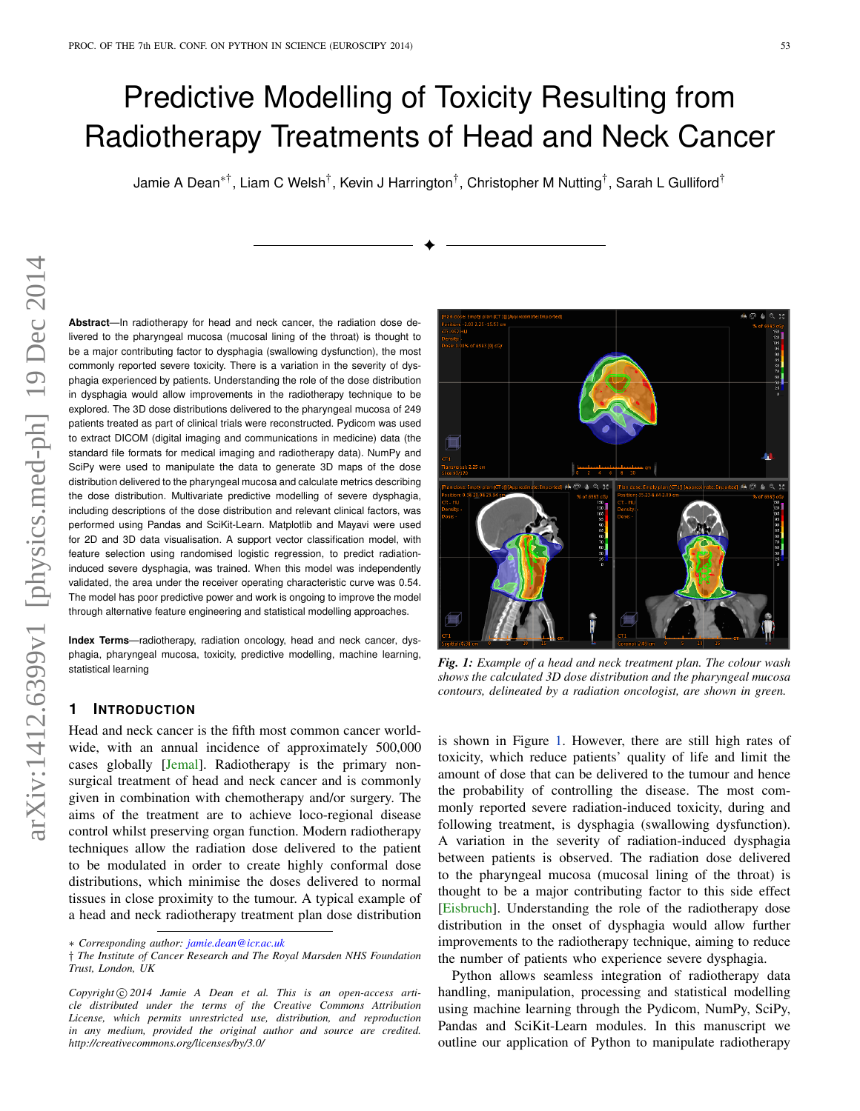# Predictive Modelling of Toxicity Resulting from Radiotherapy Treatments of Head and Neck Cancer

Jamie A Dean $^{* \dagger},$  Liam C Welsh $^{\dagger},$  Kevin J Harrington $^{\dagger},$  Christopher M Nutting $^{\dagger},$  Sarah L Gulliford $^{\dagger}$ 

✦

**Abstract**—In radiotherapy for head and neck cancer, the radiation dose delivered to the pharyngeal mucosa (mucosal lining of the throat) is thought to be a major contributing factor to dysphagia (swallowing dysfunction), the most commonly reported severe toxicity. There is a variation in the severity of dysphagia experienced by patients. Understanding the role of the dose distribution in dysphagia would allow improvements in the radiotherapy technique to be explored. The 3D dose distributions delivered to the pharyngeal mucosa of 249 patients treated as part of clinical trials were reconstructed. Pydicom was used to extract DICOM (digital imaging and communications in medicine) data (the standard file formats for medical imaging and radiotherapy data). NumPy and SciPy were used to manipulate the data to generate 3D maps of the dose distribution delivered to the pharyngeal mucosa and calculate metrics describing the dose distribution. Multivariate predictive modelling of severe dysphagia, including descriptions of the dose distribution and relevant clinical factors, was performed using Pandas and SciKit-Learn. Matplotlib and Mayavi were used for 2D and 3D data visualisation. A support vector classification model, with feature selection using randomised logistic regression, to predict radiationinduced severe dysphagia, was trained. When this model was independently validated, the area under the receiver operating characteristic curve was 0.54. The model has poor predictive power and work is ongoing to improve the model through alternative feature engineering and statistical modelling approaches.

**Index Terms**—radiotherapy, radiation oncology, head and neck cancer, dysphagia, pharyngeal mucosa, toxicity, predictive modelling, machine learning, statistical learning

#### **1 INTRODUCTION**

Head and neck cancer is the fifth most common cancer worldwide, with an annual incidence of approximately 500,000 cases globally [\[Jemal\]](#page-5-0). Radiotherapy is the primary nonsurgical treatment of head and neck cancer and is commonly given in combination with chemotherapy and/or surgery. The aims of the treatment are to achieve loco-regional disease control whilst preserving organ function. Modern radiotherapy techniques allow the radiation dose delivered to the patient to be modulated in order to create highly conformal dose distributions, which minimise the doses delivered to normal tissues in close proximity to the tumour. A typical example of a head and neck radiotherapy treatment plan dose distribution

Copyright  $\odot$  2014 Jamie A Dean et al. This is an open-access arti*cle distributed under the terms of the Creative Commons Attribution License, which permits unrestricted use, distribution, and reproduction in any medium, provided the original author and source are credited. http://creativecommons.org/licenses/by/3.0/*

<span id="page-0-0"></span>

*Fig. 1: Example of a head and neck treatment plan. The colour wash shows the calculated 3D dose distribution and the pharyngeal mucosa contours, delineated by a radiation oncologist, are shown in green.*

is shown in Figure [1.](#page-0-0) However, there are still high rates of toxicity, which reduce patients' quality of life and limit the amount of dose that can be delivered to the tumour and hence the probability of controlling the disease. The most commonly reported severe radiation-induced toxicity, during and following treatment, is dysphagia (swallowing dysfunction). A variation in the severity of radiation-induced dysphagia between patients is observed. The radiation dose delivered to the pharyngeal mucosa (mucosal lining of the throat) is thought to be a major contributing factor to this side effect [\[Eisbruch\]](#page-5-1). Understanding the role of the radiotherapy dose distribution in the onset of dysphagia would allow further improvements to the radiotherapy technique, aiming to reduce the number of patients who experience severe dysphagia.

Python allows seamless integration of radiotherapy data handling, manipulation, processing and statistical modelling using machine learning through the Pydicom, NumPy, SciPy, Pandas and SciKit-Learn modules. In this manuscript we outline our application of Python to manipulate radiotherapy

<sup>\*</sup> *Corresponding author: [jamie.dean@icr.ac.uk](mailto:jamie.dean@icr.ac.uk)*

<sup>†</sup> *The Institute of Cancer Research and The Royal Marsden NHS Foundation Trust, London, UK*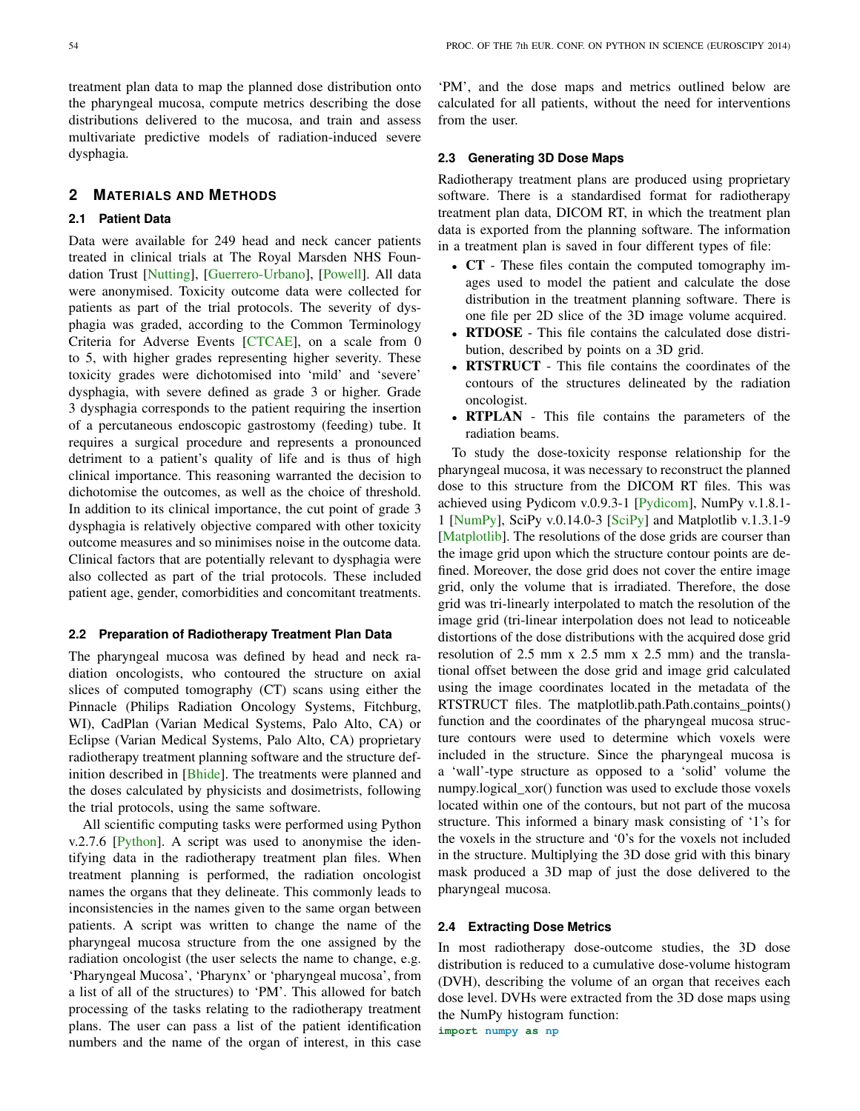treatment plan data to map the planned dose distribution onto the pharyngeal mucosa, compute metrics describing the dose distributions delivered to the mucosa, and train and assess multivariate predictive models of radiation-induced severe dysphagia.

### **2 MATERIALS AND METHODS**

### **2.1 Patient Data**

Data were available for 249 head and neck cancer patients treated in clinical trials at The Royal Marsden NHS Foundation Trust [\[Nutting\]](#page-5-2), [\[Guerrero-Urbano\]](#page-5-3), [\[Powell\]](#page-5-4). All data were anonymised. Toxicity outcome data were collected for patients as part of the trial protocols. The severity of dysphagia was graded, according to the Common Terminology Criteria for Adverse Events [\[CTCAE\]](#page-5-5), on a scale from 0 to 5, with higher grades representing higher severity. These toxicity grades were dichotomised into 'mild' and 'severe' dysphagia, with severe defined as grade 3 or higher. Grade 3 dysphagia corresponds to the patient requiring the insertion of a percutaneous endoscopic gastrostomy (feeding) tube. It requires a surgical procedure and represents a pronounced detriment to a patient's quality of life and is thus of high clinical importance. This reasoning warranted the decision to dichotomise the outcomes, as well as the choice of threshold. In addition to its clinical importance, the cut point of grade 3 dysphagia is relatively objective compared with other toxicity outcome measures and so minimises noise in the outcome data. Clinical factors that are potentially relevant to dysphagia were also collected as part of the trial protocols. These included patient age, gender, comorbidities and concomitant treatments.

#### **2.2 Preparation of Radiotherapy Treatment Plan Data**

The pharyngeal mucosa was defined by head and neck radiation oncologists, who contoured the structure on axial slices of computed tomography (CT) scans using either the Pinnacle (Philips Radiation Oncology Systems, Fitchburg, WI), CadPlan (Varian Medical Systems, Palo Alto, CA) or Eclipse (Varian Medical Systems, Palo Alto, CA) proprietary radiotherapy treatment planning software and the structure def-inition described in [\[Bhide\]](#page-5-6). The treatments were planned and the doses calculated by physicists and dosimetrists, following the trial protocols, using the same software.

All scientific computing tasks were performed using Python v.2.7.6 [\[Python\]](#page-5-7). A script was used to anonymise the identifying data in the radiotherapy treatment plan files. When treatment planning is performed, the radiation oncologist names the organs that they delineate. This commonly leads to inconsistencies in the names given to the same organ between patients. A script was written to change the name of the pharyngeal mucosa structure from the one assigned by the radiation oncologist (the user selects the name to change, e.g. 'Pharyngeal Mucosa', 'Pharynx' or 'pharyngeal mucosa', from a list of all of the structures) to 'PM'. This allowed for batch processing of the tasks relating to the radiotherapy treatment plans. The user can pass a list of the patient identification numbers and the name of the organ of interest, in this case 'PM', and the dose maps and metrics outlined below are calculated for all patients, without the need for interventions from the user.

#### **2.3 Generating 3D Dose Maps**

Radiotherapy treatment plans are produced using proprietary software. There is a standardised format for radiotherapy treatment plan data, DICOM RT, in which the treatment plan data is exported from the planning software. The information in a treatment plan is saved in four different types of file:

- CT These files contain the computed tomography images used to model the patient and calculate the dose distribution in the treatment planning software. There is one file per 2D slice of the 3D image volume acquired.
- RTDOSE This file contains the calculated dose distribution, described by points on a 3D grid.
- RTSTRUCT This file contains the coordinates of the contours of the structures delineated by the radiation oncologist.
- RTPLAN This file contains the parameters of the radiation beams.

To study the dose-toxicity response relationship for the pharyngeal mucosa, it was necessary to reconstruct the planned dose to this structure from the DICOM RT files. This was achieved using Pydicom v.0.9.3-1 [\[Pydicom\]](#page-5-8), NumPy v.1.8.1- 1 [\[NumPy\]](#page-5-9), SciPy v.0.14.0-3 [\[SciPy\]](#page-5-10) and Matplotlib v.1.3.1-9 [\[Matplotlib\]](#page-5-11). The resolutions of the dose grids are courser than the image grid upon which the structure contour points are defined. Moreover, the dose grid does not cover the entire image grid, only the volume that is irradiated. Therefore, the dose grid was tri-linearly interpolated to match the resolution of the image grid (tri-linear interpolation does not lead to noticeable distortions of the dose distributions with the acquired dose grid resolution of 2.5 mm x 2.5 mm x 2.5 mm) and the translational offset between the dose grid and image grid calculated using the image coordinates located in the metadata of the RTSTRUCT files. The matplotlib.path.Path.contains\_points() function and the coordinates of the pharyngeal mucosa structure contours were used to determine which voxels were included in the structure. Since the pharyngeal mucosa is a 'wall'-type structure as opposed to a 'solid' volume the numpy.logical\_xor() function was used to exclude those voxels located within one of the contours, but not part of the mucosa structure. This informed a binary mask consisting of '1's for the voxels in the structure and '0's for the voxels not included in the structure. Multiplying the 3D dose grid with this binary mask produced a 3D map of just the dose delivered to the pharyngeal mucosa.

### **2.4 Extracting Dose Metrics**

In most radiotherapy dose-outcome studies, the 3D dose distribution is reduced to a cumulative dose-volume histogram (DVH), describing the volume of an organ that receives each dose level. DVHs were extracted from the 3D dose maps using the NumPy histogram function: **import numpy as np**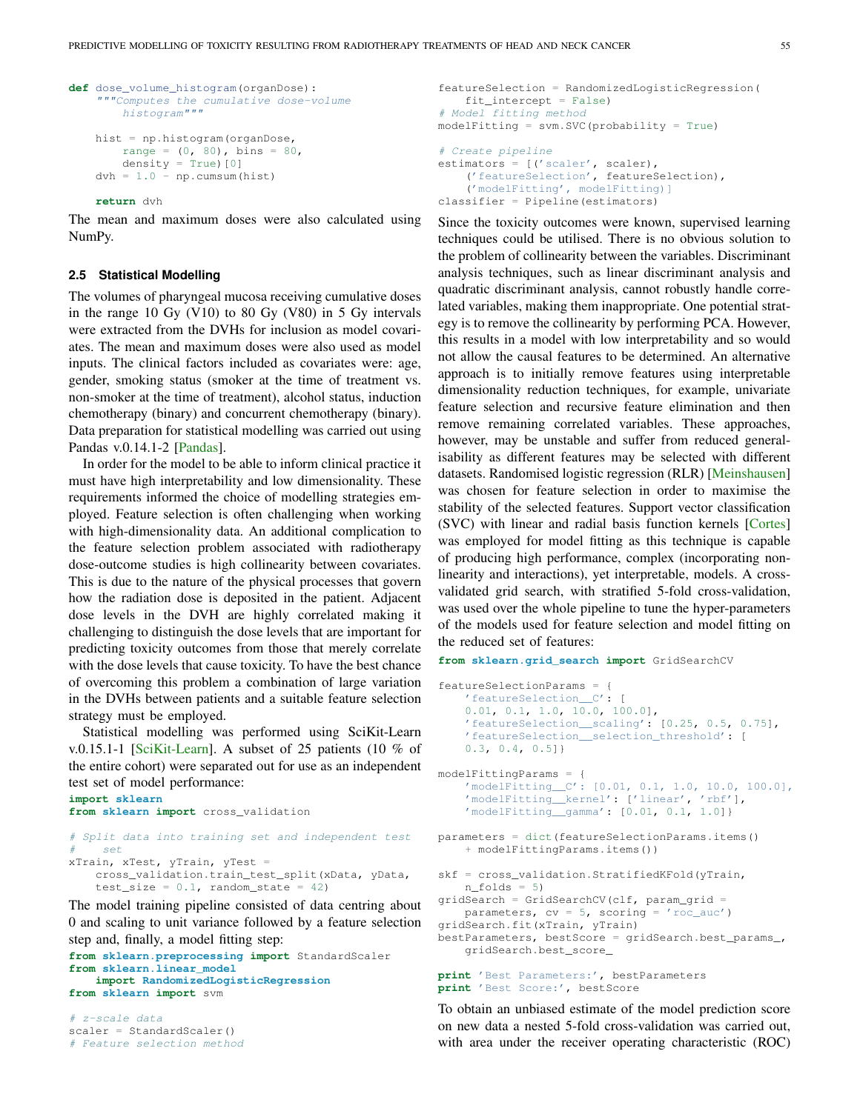```
def dose_volume_histogram(organDose):
    """Computes the cumulative dose-volume
       histogram"""
   hist = np.histogram(organDose,
       range = (0, 80), bins = 80,
       density = True)[0]
   dvh = 1.0 - np.cumsum(hist)
```
**return** dvh

The mean and maximum doses were also calculated using NumPy.

#### **2.5 Statistical Modelling**

The volumes of pharyngeal mucosa receiving cumulative doses in the range 10 Gy (V10) to 80 Gy (V80) in 5 Gy intervals were extracted from the DVHs for inclusion as model covariates. The mean and maximum doses were also used as model inputs. The clinical factors included as covariates were: age, gender, smoking status (smoker at the time of treatment vs. non-smoker at the time of treatment), alcohol status, induction chemotherapy (binary) and concurrent chemotherapy (binary). Data preparation for statistical modelling was carried out using Pandas v.0.14.1-2 [\[Pandas\]](#page-5-12).

In order for the model to be able to inform clinical practice it must have high interpretability and low dimensionality. These requirements informed the choice of modelling strategies employed. Feature selection is often challenging when working with high-dimensionality data. An additional complication to the feature selection problem associated with radiotherapy dose-outcome studies is high collinearity between covariates. This is due to the nature of the physical processes that govern how the radiation dose is deposited in the patient. Adjacent dose levels in the DVH are highly correlated making it challenging to distinguish the dose levels that are important for predicting toxicity outcomes from those that merely correlate with the dose levels that cause toxicity. To have the best chance of overcoming this problem a combination of large variation in the DVHs between patients and a suitable feature selection strategy must be employed.

Statistical modelling was performed using SciKit-Learn v.0.15.1-1 [\[SciKit-Learn\]](#page-5-13). A subset of 25 patients (10 % of the entire cohort) were separated out for use as an independent test set of model performance:

```
import sklearn
from sklearn import cross_validation
# Split data into training set and independent test
    # set
xTrain, xTest, yTrain, yTest =
    cross_validation.train_test_split(xData, yData,
    test_size = 0.1, random_state = 42)
```
The model training pipeline consisted of data centring about 0 and scaling to unit variance followed by a feature selection step and, finally, a model fitting step:

**from sklearn.preprocessing import** StandardScaler **from sklearn.linear\_model import RandomizedLogisticRegression from sklearn import** svm

# z-scale data scaler = StandardScaler() # Feature selection method

```
featureSelection = RandomizedLogisticRegression(
   fit_intercept = False)
# Model fitting method
modelFitting = svm.SVC(probability = True)
# Create pipeline
estimators = [('scaler', scaler),
    ('featureSelection', featureSelection),
    ('modelFitting', modelFitting)]
classifier = Pipeline(estimators)
```
Since the toxicity outcomes were known, supervised learning techniques could be utilised. There is no obvious solution to the problem of collinearity between the variables. Discriminant analysis techniques, such as linear discriminant analysis and quadratic discriminant analysis, cannot robustly handle correlated variables, making them inappropriate. One potential strategy is to remove the collinearity by performing PCA. However, this results in a model with low interpretability and so would not allow the causal features to be determined. An alternative approach is to initially remove features using interpretable dimensionality reduction techniques, for example, univariate feature selection and recursive feature elimination and then remove remaining correlated variables. These approaches, however, may be unstable and suffer from reduced generalisability as different features may be selected with different datasets. Randomised logistic regression (RLR) [\[Meinshausen\]](#page-5-14) was chosen for feature selection in order to maximise the stability of the selected features. Support vector classification (SVC) with linear and radial basis function kernels [\[Cortes\]](#page-5-15) was employed for model fitting as this technique is capable of producing high performance, complex (incorporating nonlinearity and interactions), yet interpretable, models. A crossvalidated grid search, with stratified 5-fold cross-validation, was used over the whole pipeline to tune the hyper-parameters of the models used for feature selection and model fitting on the reduced set of features:

```
from sklearn.grid_search import GridSearchCV
```

```
featureSelectionParams = {
    'featureSelection__C': [
    0.01, 0.1, 1.0, 10.0, 100.0],
    'featureSelection__scaling': [0.25, 0.5, 0.75],
    'featureSelection__selection_threshold': [
    0.3, 0.4, 0.5]}
modelFittingParams = {
    'modelFitting__C': [0.01, 0.1, 1.0, 10.0, 100.0],
    'modelFitting__kernel': ['linear', 'rbf'],
    'modelFitting__gamma': [0.01, 0.1, 1.0]}
parameters = dict(featureSelectionParams.items()
    + modelFittingParams.items())
skf = cross_validation.StratifiedKFold(yTrain,
    n_folds = 5)
gridSearch = GridSearchCV(clf, param_grid =
    parameters, cv = 5, scoring = 'roc_auc')
gridSearch.fit(xTrain, yTrain)
bestParameters, bestScore = gridSearch.best_params_,
    gridSearch.best_score_
```

```
print 'Best Parameters:', bestParameters
print 'Best Score:', bestScore
```
To obtain an unbiased estimate of the model prediction score on new data a nested 5-fold cross-validation was carried out, with area under the receiver operating characteristic (ROC)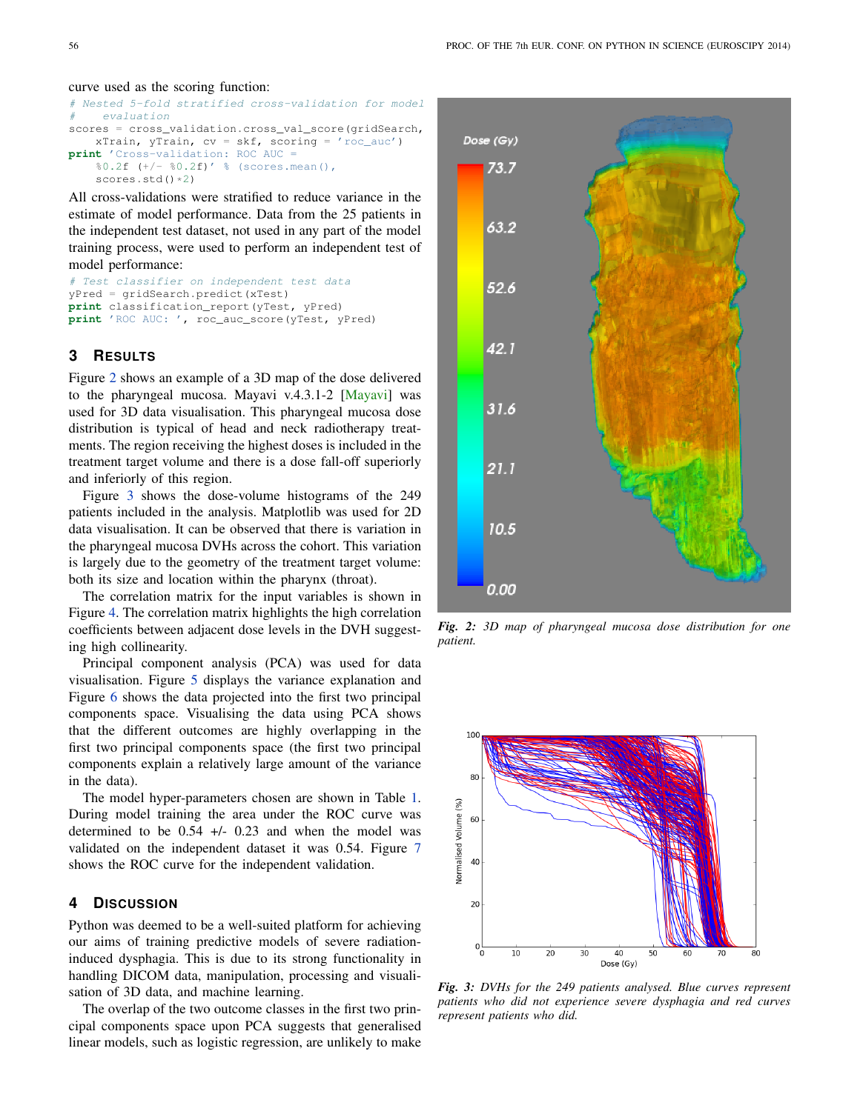#### curve used as the scoring function:

```
# Nested 5-fold stratified cross-validation for model
    evaluation
scores = cross_validation.cross_val_score(gridSearch,
    xTrain, yTrain, cv = skf, scoring = 'roc_auc')
print 'Cross-validation: ROC AUC =
    80.2f (+/- 80.2f)' % (scores.mean(),
    scores.std() *2)
```
All cross-validations were stratified to reduce variance in the estimate of model performance. Data from the 25 patients in the independent test dataset, not used in any part of the model training process, were used to perform an independent test of model performance:

```
# Test classifier on independent test data
yPred = gridSearch.predict(xTest)
print classification_report(yTest, yPred)
print 'ROC AUC: ', roc_auc_score(yTest, yPred)
```
## **3 RESULTS**

Figure [2](#page-3-0) shows an example of a 3D map of the dose delivered to the pharyngeal mucosa. Mayavi v.4.3.1-2 [\[Mayavi\]](#page-5-16) was used for 3D data visualisation. This pharyngeal mucosa dose distribution is typical of head and neck radiotherapy treatments. The region receiving the highest doses is included in the treatment target volume and there is a dose fall-off superiorly and inferiorly of this region.

Figure [3](#page-3-1) shows the dose-volume histograms of the 249 patients included in the analysis. Matplotlib was used for 2D data visualisation. It can be observed that there is variation in the pharyngeal mucosa DVHs across the cohort. This variation is largely due to the geometry of the treatment target volume: both its size and location within the pharynx (throat).

The correlation matrix for the input variables is shown in Figure [4.](#page-4-0) The correlation matrix highlights the high correlation coefficients between adjacent dose levels in the DVH suggesting high collinearity.

Principal component analysis (PCA) was used for data visualisation. Figure [5](#page-4-1) displays the variance explanation and Figure [6](#page-4-2) shows the data projected into the first two principal components space. Visualising the data using PCA shows that the different outcomes are highly overlapping in the first two principal components space (the first two principal components explain a relatively large amount of the variance in the data).

The model hyper-parameters chosen are shown in Table [1.](#page-4-3) During model training the area under the ROC curve was determined to be  $0.54$  +/-  $0.23$  and when the model was validated on the independent dataset it was 0.54. Figure [7](#page-4-4) shows the ROC curve for the independent validation.

## **4 DISCUSSION**

Python was deemed to be a well-suited platform for achieving our aims of training predictive models of severe radiationinduced dysphagia. This is due to its strong functionality in handling DICOM data, manipulation, processing and visualisation of 3D data, and machine learning.

The overlap of the two outcome classes in the first two principal components space upon PCA suggests that generalised linear models, such as logistic regression, are unlikely to make

<span id="page-3-0"></span>

*Fig. 2: 3D map of pharyngeal mucosa dose distribution for one patient.*

<span id="page-3-1"></span>

*Fig. 3: DVHs for the 249 patients analysed. Blue curves represent patients who did not experience severe dysphagia and red curves represent patients who did.*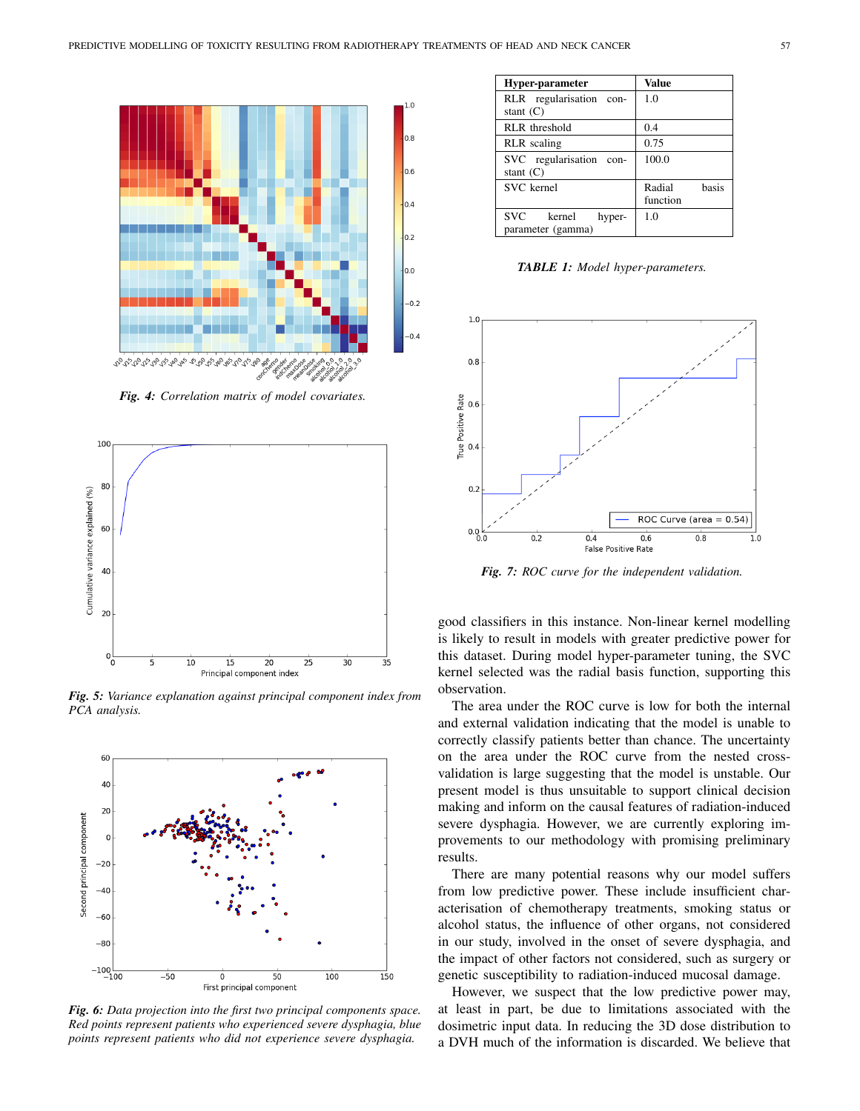<span id="page-4-0"></span>

*Fig. 4: Correlation matrix of model covariates.*

<span id="page-4-1"></span>

*Fig. 5: Variance explanation against principal component index from PCA analysis.*

<span id="page-4-2"></span>

*Fig. 6: Data projection into the first two principal components space. Red points represent patients who experienced severe dysphagia, blue points represent patients who did not experience severe dysphagia.*

<span id="page-4-3"></span>

| Hyper-parameter                | <b>Value</b>    |  |
|--------------------------------|-----------------|--|
| RLR regularisation<br>con-     | 1.0             |  |
| stant $(C)$                    |                 |  |
| RLR threshold                  | 0.4             |  |
| <b>RLR</b> scaling             | 0.75            |  |
| SVC regularisation con-        | 100.0           |  |
| stant $(C)$                    |                 |  |
| SVC kernel                     | basis<br>Radial |  |
|                                | function        |  |
| <b>SVC</b><br>kernel<br>hyper- | 1 <sub>0</sub>  |  |
| parameter (gamma)              |                 |  |

*TABLE 1: Model hyper-parameters.*

<span id="page-4-4"></span>

*Fig. 7: ROC curve for the independent validation.*

good classifiers in this instance. Non-linear kernel modelling is likely to result in models with greater predictive power for this dataset. During model hyper-parameter tuning, the SVC kernel selected was the radial basis function, supporting this observation.

The area under the ROC curve is low for both the internal and external validation indicating that the model is unable to correctly classify patients better than chance. The uncertainty on the area under the ROC curve from the nested crossvalidation is large suggesting that the model is unstable. Our present model is thus unsuitable to support clinical decision making and inform on the causal features of radiation-induced severe dysphagia. However, we are currently exploring improvements to our methodology with promising preliminary results.

There are many potential reasons why our model suffers from low predictive power. These include insufficient characterisation of chemotherapy treatments, smoking status or alcohol status, the influence of other organs, not considered in our study, involved in the onset of severe dysphagia, and the impact of other factors not considered, such as surgery or genetic susceptibility to radiation-induced mucosal damage.

However, we suspect that the low predictive power may, at least in part, be due to limitations associated with the dosimetric input data. In reducing the 3D dose distribution to a DVH much of the information is discarded. We believe that